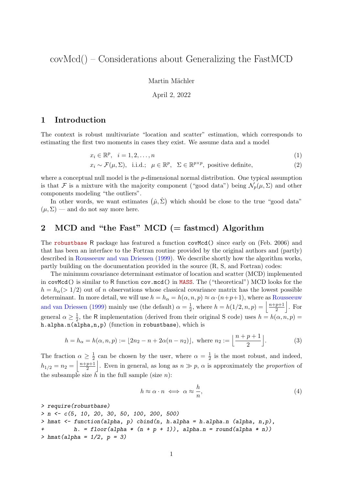covMcd() – Considerations about Generalizing the FastMCD

Martin Mächler

April 2, 2022

## 1 Introduction

The context is robust multivariate "location and scatter" estimation, which corresponds to estimating the first two moments in cases they exist. We assume data and a model

$$
x_i \in \mathbb{R}^p, \quad i = 1, 2, \dots, n \tag{1}
$$

$$
x_i \sim \mathcal{F}(\mu, \Sigma)
$$
, i.i.d.;  $\mu \in \mathbb{R}^p$ ,  $\Sigma \in \mathbb{R}^{p \times p}$ , positive definite, (2)

where a conceptual null model is the  $p$ -dimensional normal distribution. One typical assumption is that F is a mixture with the majority component ("good data") being  $\mathcal{N}_p(\mu, \Sigma)$  and other components modeling "the outliers".

In other words, we want estimates  $(\hat{\mu}, \hat{\Sigma})$  which should be close to the true "good data"  $(\mu, \Sigma)$  — and do not say more here.

## 2 MCD and "the Fast" MCD (= fastmcd) Algorithm

The [robustbase](https://CRAN.R-project.org/package=robustbase) R package has featured a function covMcd() since early on (Feb. 2006) and that has been an interface to the Fortran routine provided by the original authors and (partly) described in [Rousseeuw and van Driessen](#page-3-0) [\(1999\)](#page-3-0). We describe shortly how the algorithm works, partly building on the documentation provided in the source (R, S, and Fortran) codes:

The minimum covariance determinant estimator of location and scatter (MCD) implemented in covMcd() is similar to R function cov.mcd() in [MASS](https://CRAN.R-project.org/package=MASS). The ("theoretical") MCD looks for the  $h = h<sub>\alpha</sub>(>1/2)$  out of n observations whose classical covariance matrix has the lowest possible determinant. In more detail, we will use  $h = h_{\alpha} = h(\alpha, n, p) \approx \alpha \cdot (n+p+1)$ , where as [Rousseeuw](#page-3-0) [and van Driessen](#page-3-0) [\(1999\)](#page-3-0) mainly use (the default)  $\alpha = \frac{1}{2}$  $\frac{1}{2}$ , where  $h = h(1/2, n, p) = \frac{n+p+1}{2}$  $\frac{p+1}{2}$ . For general  $\alpha \geq \frac{1}{2}$  $\frac{1}{2}$ , the R implementation (derived from their original S code) uses  $h = h(\alpha, n, p) =$ h.alpha.n(alpha,n,p) (function in robustbase), which is

$$
h = h_{\alpha} = h(\alpha, n, p) := \lfloor 2n_2 - n + 2\alpha(n - n_2) \rfloor, \text{ where } n_2 := \left\lfloor \frac{n + p + 1}{2} \right\rfloor.
$$
 (3)

The fraction  $\alpha \geq \frac{1}{2}$  $\frac{1}{2}$  can be chosen by the user, where  $\alpha = \frac{1}{2}$  $\frac{1}{2}$  is the most robust, and indeed,  $h_{1/2} = n_2 = \left\lfloor \frac{n+p+1}{2} \right\rfloor$  $\left\lfloor \frac{p+1}{2} \right\rfloor$ . Even in general, as long as  $n \gg p$ ,  $\alpha$  is approximately the proportion of the subsample size  $\bar{h}$  in the full sample (size *n*):

$$
h \approx \alpha \cdot n \iff \alpha \approx \frac{h}{n},\tag{4}
$$

```
> require(robustbase)
> n \leq c(5, 10, 20, 30, 50, 100, 200, 500)> hmat \le function(alpha, p) cbind(n, h.alpha = h.alpha.n (alpha, n,p),
+ h. = floor(alpha * (n + p + 1)), alpha.n = round(alpha * n))
> hmat(alpha = 1/2, p = 3)
```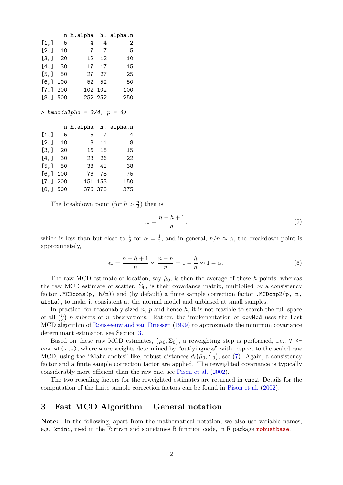|                                        |     | n h.alpha h. alpha.n             |                |            |
|----------------------------------------|-----|----------------------------------|----------------|------------|
| [1,]                                   | -5  | 4                                | 4              | 2          |
| [2,]                                   | 10  | 7                                | $\overline{7}$ | 5          |
| [3,]                                   | 20  | 12                               | 12             | 10         |
| [4, 1]                                 | 30  |                                  | 17 17          | 15         |
| [5,]                                   | 50  |                                  | 27 27          | 25         |
| [6,]                                   | 100 | 52                               | 52             | 50         |
| [7,]                                   | 200 | 102                              | 102            | 100        |
| [8,]                                   | 500 |                                  | 252 252        | 250        |
|                                        |     |                                  |                |            |
|                                        |     |                                  |                |            |
|                                        |     | > hmat(alpha = $3/4$ , $p = 4$ ) |                |            |
|                                        |     |                                  |                |            |
|                                        |     | n h.alpha                        |                | h. alpha.n |
| [1,]                                   | 5   | 5                                | - 7            | 4          |
| [2,]                                   | 10  | 8                                | 11             | 8          |
| $\begin{bmatrix} 3,  \end{bmatrix}$ 20 |     | 16                               | 18             | 15         |
| [4,]                                   | 30  |                                  | 23 26          | 22         |
| [5,]                                   | 50  | 38                               | 41             | 38         |
| [6,]                                   | 100 | 76 -                             | 78             | 75         |
| [7,]                                   | 200 | 151                              | 153            | 150        |

The breakdown point (for  $h > \frac{n}{2}$ ) then is

$$
\epsilon_* = \frac{n - h + 1}{n},\tag{5}
$$

which is less than but close to  $\frac{1}{2}$  for  $\alpha = \frac{1}{2}$  $\frac{1}{2}$ , and in general,  $h/n \approx \alpha$ , the breakdown point is approximately,

$$
\epsilon_* = \frac{n - h + 1}{n} \approx \frac{n - h}{n} = 1 - \frac{h}{n} \approx 1 - \alpha.
$$
\n(6)

The raw MCD estimate of location, say  $\hat{\mu}_0$ , is then the average of these h points, whereas the raw MCD estimate of scatter,  $\hat{\Sigma}_0$ , is their covariance matrix, multiplied by a consistency factor .MCDcons(p, h/n)) and (by default) a finite sample correction factor .MCDcnp2(p, n, alpha), to make it consistent at the normal model and unbiased at small samples.

In practice, for reasonably sized  $n$ ,  $p$  and hence  $h$ , it is not feasible to search the full space of all  $\binom{n}{h}$  $\binom{n}{h}$  h-subsets of n observations. Rather, the implementation of covMcd uses the Fast MCD algorithm of [Rousseeuw and van Driessen](#page-3-0) [\(1999\)](#page-3-0) to approximate the minimum covariance determinant estimator, see Section [3.](#page-1-0)

Based on these raw MCD estimates,  $(\hat{\mu}_0, \hat{\Sigma}_0)$ , a reweighting step is performed, i.e., V < $cov.wt(x,w)$ , where w are weights determined by "outlyingness" with respect to the scaled raw MCD, using the "Mahalanobis"-like, robust distances  $d_i(\hat{\mu}_0, \hat{\Sigma}_0)$ , see [\(7\)](#page-2-0). Again, a consistency factor and a finite sample correction factor are applied. The reweighted covariance is typically considerably more efficient than the raw one, see [Pison et al.](#page-3-1) [\(2002\)](#page-3-1).

The two rescaling factors for the reweighted estimates are returned in cnp2. Details for the computation of the finite sample correction factors can be found in [Pison et al.](#page-3-1) [\(2002\)](#page-3-1).

## <span id="page-1-0"></span>3 Fast MCD Algorithm – General notation

Note: In the following, apart from the mathematical notation, we also use variable names, e.g., kmini, used in the Fortran and sometimes R function code, in R package [robustbase](https://CRAN.R-project.org/package=robustbase).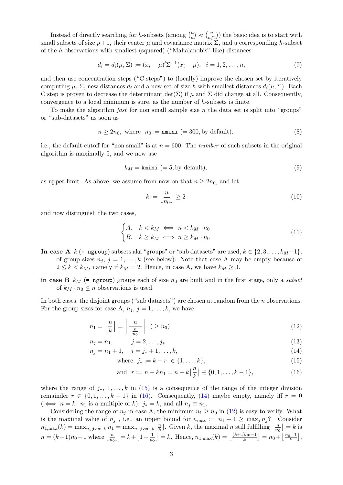Instead of directly searching for h-subsets (among  $\binom{n}{h}$  ${n \choose h} \approx {n \choose n}$  $\binom{n}{n/2}$  the basic idea is to start with small subsets of size  $p+1$ , their center  $\mu$  and covariance matrix  $\Sigma$ , and a corresponding h-subset of the h observations with smallest (squared) ("Mahalanobis"-like) distances

<span id="page-2-0"></span>
$$
d_i = d_i(\mu, \Sigma) := (x_i - \mu)' \Sigma^{-1} (x_i - \mu), \quad i = 1, 2, \dots, n,
$$
\n(7)

and then use concentration steps ("C steps") to (locally) improve the chosen set by iteratively computing  $\mu$ ,  $\Sigma$ , new distances  $d_i$  and a new set of size h with smallest distances  $d_i(\mu, \Sigma)$ . Each C step is proven to decrease the determinant  $\det(\Sigma)$  if  $\mu$  and  $\Sigma$  did change at all. Consequently, convergence to a local minimum is sure, as the number of  $h$ -subsets is finite.

To make the algorithm *fast* for non small sample size  $n$  the data set is split into "groups" or "sub-datasets" as soon as

$$
n \ge 2n_0, \text{ where } n_0 := \text{mmini } (= 300, \text{by default}). \tag{8}
$$

i.e., the default cutoff for "non small" is at  $n = 600$ . The *number* of such subsets in the original algorithm is maximally 5, and we now use

$$
k_M = \text{kmini} (= 5, \text{by default}),\tag{9}
$$

as upper limit. As above, we assume from now on that  $n \geq 2n_0$ , and let

$$
k := \left\lfloor \frac{n}{n_0} \right\rfloor \ge 2\tag{10}
$$

and now distinguish the two cases,

$$
\begin{cases} A. & k < k_M \iff n < k_M \cdot n_0 \\ B. & k \ge k_M \iff n \ge k_M \cdot n_0 \end{cases}
$$
 (11)

In case A k (= ngroup) subsets aka "groups" or "sub datasets" are used,  $k \in \{2, 3, ..., k_M-1\}$ , of group sizes  $n_j$ ,  $j = 1, ..., k$  (see below). Note that case A may be empty because of  $2 \leq k \leq k_M$ , namely if  $k_M = 2$ . Hence, in case A, we have  $k_M \geq 3$ .

in case B  $k_M$  (= ngroup) groups each of size  $n_0$  are built and in the first stage, only a *subset* of  $k_M \cdot n_0 \leq n$  observations is used.

In both cases, the disjoint groups ("sub datasets") are chosen at random from the  $n$  observations. For the group sizes for case A,  $n_j$ ,  $j = 1, \ldots, k$ , we have

$$
n_1 = \left\lfloor \frac{n}{k} \right\rfloor = \left\lfloor \frac{n}{\left\lfloor \frac{n}{n_0} \right\rfloor} \right\rfloor \quad (\ge n_0)
$$
\n(12)

$$
n_j = n_1, \t j = 2, \dots, j_* \t (13)
$$

$$
n_j = n_1 + 1, \quad j = j_* + 1, \dots, k,
$$
\n(14)

<span id="page-2-4"></span>where 
$$
j_* := k - r \in \{1, ..., k\},
$$
 (15)

<span id="page-2-3"></span><span id="page-2-2"></span><span id="page-2-1"></span>and 
$$
r := n - kn_1 = n - k \left\lfloor \frac{n}{k} \right\rfloor \in \{0, 1, \dots, k - 1\},
$$
 (16)

where the range of  $j_*, 1, \ldots, k$  in [\(15\)](#page-2-1) is a consequence of the range of the integer division remainder  $r \in \{0, 1, \ldots, k-1\}$  in [\(16\)](#page-2-2). Consequently, [\(14\)](#page-2-3) maybe empty, namely iff  $r = 0$  $(\iff n = k \cdot n_1 \text{ is a multiple of } k): j_* = k, \text{ and all } n_i \equiv n_1.$ 

Considering the range of  $n_j$  in case A, the minimum  $n_1 \geq n_0$  in [\(12\)](#page-2-4) is easy to verify. What is the maximal value of  $n_j$ , i.e., an upper bound for  $n_{\text{max}} := n_1 + 1 \ge \max_j n_j$ ? Consider  $n_{1,\max}(k) = \max_{n,\text{given }k} n_1 = \max_{n,\text{given }k} \lfloor \frac{n}{k} \rfloor$  $\frac{n}{k}$ . Given k, the maximal n still fulfilling  $\lfloor \frac{n}{n_0} \rfloor$  $\frac{n}{n_0}$  = k is  $n = (k+1)n_0 - 1$  where  $\frac{n}{n_0}$  $\frac{n}{n_0}$ ] =  $k+\lfloor 1-\frac{1}{n_0}\rfloor$  $\frac{1}{n_0}$ ] = k. Hence,  $n_{1,\max}(k) = \lfloor \frac{(k+1)n_0 - 1}{k} \rfloor = n_0 + \lfloor \frac{n_0 - 1}{k} \rfloor$  $\frac{1}{k}$ ,